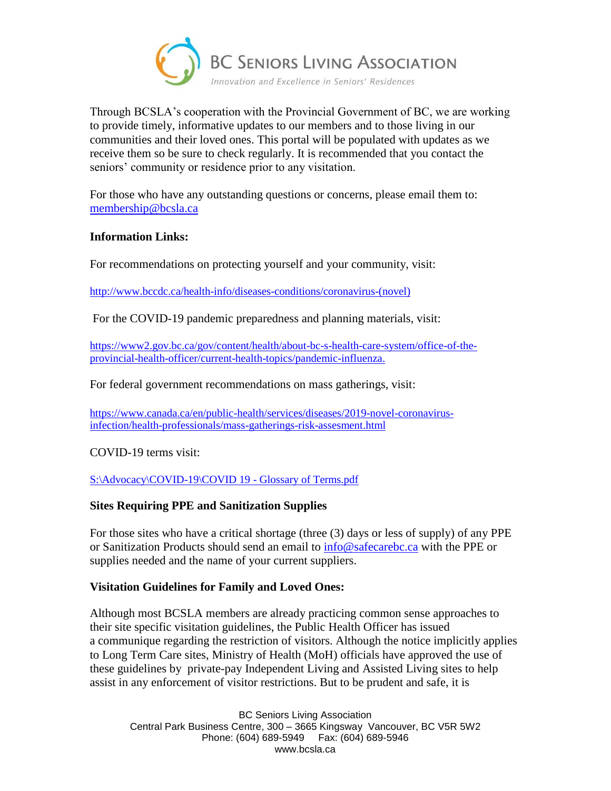

Through BCSLA's cooperation with the Provincial Government of BC, we are working to provide timely, informative updates to our members and to those living in our communities and their loved ones. This portal will be populated with updates as we receive them so be sure to check regularly. It is recommended that you contact the seniors' community or residence prior to any visitation.

For those who have any outstanding questions or concerns, please email them to: [membership@bcsla.ca](mailto:membership@bcsla.ca)

## **Information Links:**

For recommendations on protecting yourself and your community, visit:

[http://www.bccdc.ca/health-info/diseases-conditions/coronavirus-\(novel\)](http://www.bccdc.ca/health-info/diseases-conditions/coronavirus-(novel))

For the COVID-19 pandemic preparedness and planning materials, visit:

[https://www2.gov.bc.ca/gov/content/health/about-bc-s-health-care-system/office-of-the](https://www2.gov.bc.ca/gov/content/health/about-bc-s-health-care-system/office-of-the-provincial-health-officer/current-health-topics/pandemic-influenza)[provincial-health-officer/current-health-topics/pandemic-influenza.](https://www2.gov.bc.ca/gov/content/health/about-bc-s-health-care-system/office-of-the-provincial-health-officer/current-health-topics/pandemic-influenza)

For federal government recommendations on mass gatherings, visit:

[https://www.canada.ca/en/public-health/services/diseases/2019-novel-coronavirus](https://www.canada.ca/en/public-health/services/diseases/2019-novel-coronavirus-infection/health-professionals/mass-gatherings-risk-assesment.html)[infection/health-professionals/mass-gatherings-risk-assesment.html](https://www.canada.ca/en/public-health/services/diseases/2019-novel-coronavirus-infection/health-professionals/mass-gatherings-risk-assesment.html)

COVID-19 terms visit:

[S:\Advocacy\COVID-19\COVID 19 -](file://///bcsla-nas/Files/shared/Advocacy/COVID-19/COVID%2019%20-%20Glossary%20of%20Terms.pdf) Glossary of Terms.pdf

## **Sites Requiring PPE and Sanitization Supplies**

For those sites who have a critical shortage (three (3) days or less of supply) of any PPE or Sanitization Products should send an email to [info@safecarebc.ca](mailto:info@safecarebc.ca) with the PPE or supplies needed and the name of your current suppliers.

## **Visitation Guidelines for Family and Loved Ones:**

Although most BCSLA members are already practicing common sense approaches to their site specific visitation guidelines, the Public Health Officer has issued a communique regarding the restriction of visitors. Although the notice implicitly applies to Long Term Care sites, Ministry of Health (MoH) officials have approved the use of these guidelines by private-pay Independent Living and Assisted Living sites to help assist in any enforcement of visitor restrictions. But to be prudent and safe, it is

BC Seniors Living Association Central Park Business Centre, 300 – 3665 Kingsway Vancouver, BC V5R 5W2 Phone: (604) 689-5949 Fax: (604) 689-5946 www.bcsla.ca